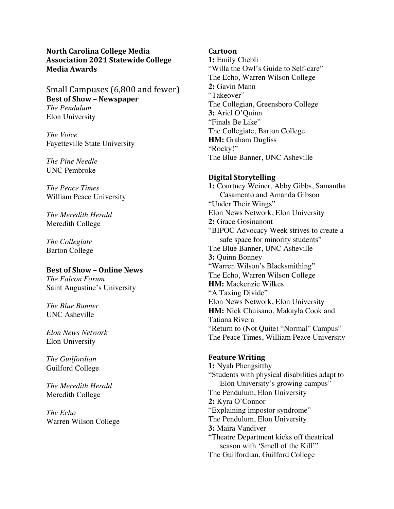**North Carolina College Media Association 2021 Statewide College Media Awards**

# Small Campuses (6,800 and fewer) **Best of Show - Newspaper** *The Pendulum* Elon University

*The Voice* Fayetteville State University

*The Pine Needle* UNC Pembroke

*The Peace Times* William Peace University

*The Meredith Herald* Meredith College

*The Collegiate* Barton College

# **Best of Show – Online News**

*The Falcon Forum* Saint Augustine's University

*The Blue Banner* UNC Asheville

*Elon News Network* Elon University

*The Guilfordian* Guilford College

*The Meredith Herald* Meredith College

*The Echo* Warren Wilson College

## **Cartoon**

**1:** Emily Chebli "Willa the Owl's Guide to Self-care" The Echo, Warren Wilson College **2:** Gavin Mann "Takeover" The Collegian, Greensboro College **3:** Ariel O'Quinn "Finals Be Like" The Collegiate, Barton College **HM:** Graham Dugliss "Rocky!" The Blue Banner, UNC Asheville

# **Digital Storytelling**

**1:** Courtney Weiner, Abby Gibbs, Samantha Casamento and Amanda Gibson "Under Their Wings" Elon News Network, Elon University **2:** Grace Gosinanont "BIPOC Advocacy Week strives to create a safe space for minority students" The Blue Banner, UNC Asheville **3:** Quinn Bonney "Warren Wilson's Blacksmithing" The Echo, Warren Wilson College **HM:** Mackenzie Wilkes "A Taxing Divide" Elon News Network, Elon University **HM:** Nick Chuisano, Makayla Cook and Tatiana Rivera "Return to (Not Quite) "Normal" Campus" The Peace Times, William Peace University

## **Feature Writing**

**1:** Nyah Phengsitthy "Students with physical disabilities adapt to Elon University's growing campus" The Pendulum, Elon University **2:** Kyra O'Connor "Explaining impostor syndrome" The Pendulum, Elon University **3:** Maira Vandiver "Theatre Department kicks off theatrical season with 'Smell of the Kill'" The Guilfordian, Guilford College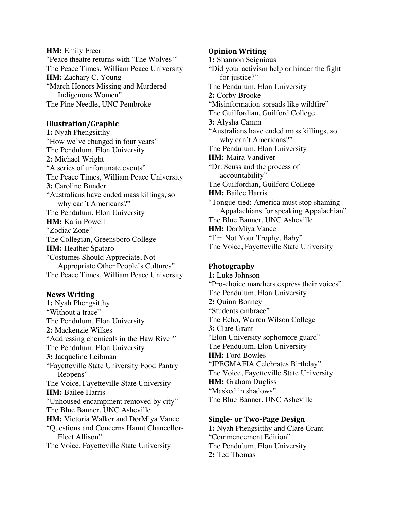**HM:** Emily Freer "Peace theatre returns with 'The Wolves'" The Peace Times, William Peace University **HM:** Zachary C. Young "March Honors Missing and Murdered Indigenous Women" The Pine Needle, UNC Pembroke

## **Illustration/Graphic**

**1:** Nyah Phengsitthy "How we've changed in four years" The Pendulum, Elon University **2:** Michael Wright "A series of unfortunate events" The Peace Times, William Peace University **3:** Caroline Bunder "Australians have ended mass killings, so why can't Americans?" The Pendulum, Elon University **HM:** Karin Powell "Zodiac Zone" The Collegian, Greensboro College **HM:** Heather Spataro "Costumes Should Appreciate, Not Appropriate Other People's Cultures" The Peace Times, William Peace University

## **News Writing**

**1:** Nyah Phengsitthy "Without a trace" The Pendulum, Elon University **2:** Mackenzie Wilkes "Addressing chemicals in the Haw River" The Pendulum, Elon University **3:** Jacqueline Leibman "Fayetteville State University Food Pantry Reopens" The Voice, Fayetteville State University **HM:** Bailee Harris "Unhoused encampment removed by city" The Blue Banner, UNC Asheville **HM:** Victoria Walker and DorMiya Vance "Questions and Concerns Haunt Chancellor-Elect Allison" The Voice, Fayetteville State University

#### **Opinion Writing**

**1:** Shannon Seignious "Did your activism help or hinder the fight for justice?" The Pendulum, Elon University **2:** Corby Brooke "Misinformation spreads like wildfire" The Guilfordian, Guilford College **3:** Alysha Camm "Australians have ended mass killings, so why can't Americans?" The Pendulum, Elon University **HM:** Maira Vandiver "Dr. Seuss and the process of accountability" The Guilfordian, Guilford College **HM:** Bailee Harris "Tongue-tied: America must stop shaming Appalachians for speaking Appalachian" The Blue Banner, UNC Asheville **HM:** DorMiya Vance "I'm Not Your Trophy, Baby" The Voice, Fayetteville State University

## **Photography**

**1:** Luke Johnson "Pro-choice marchers express their voices" The Pendulum, Elon University **2:** Quinn Bonney "Students embrace" The Echo, Warren Wilson College **3:** Clare Grant "Elon University sophomore guard" The Pendulum, Elon University **HM:** Ford Bowles "JPEGMAFIA Celebrates Birthday" The Voice, Fayetteville State University **HM:** Graham Dugliss "Masked in shadows" The Blue Banner, UNC Asheville

#### **Single- or Two-Page Design**

**1:** Nyah Phengsitthy and Clare Grant "Commencement Edition" The Pendulum, Elon University **2:** Ted Thomas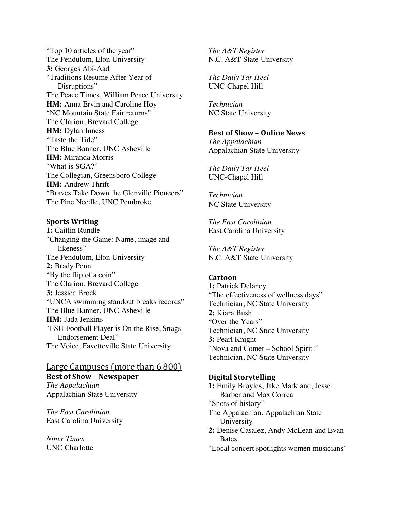"Top 10 articles of the year" The Pendulum, Elon University **3:** Georges Abi-Aad "Traditions Resume After Year of Disruptions" The Peace Times, William Peace University **HM:** Anna Ervin and Caroline Hoy "NC Mountain State Fair returns" The Clarion, Brevard College **HM:** Dylan Inness "Taste the Tide" The Blue Banner, UNC Asheville **HM:** Miranda Morris "What is SGA?" The Collegian, Greensboro College **HM:** Andrew Thrift "Braves Take Down the Glenville Pioneers" The Pine Needle, UNC Pembroke

# **Sports Writing**

**1:** Caitlin Rundle "Changing the Game: Name, image and likeness" The Pendulum, Elon University **2:** Brady Penn "By the flip of a coin" The Clarion, Brevard College **3:** Jessica Brock "UNCA swimming standout breaks records" The Blue Banner, UNC Asheville **HM:** Jada Jenkins "FSU Football Player is On the Rise, Snags Endorsement Deal" The Voice, Fayetteville State University

# **Large Campuses** (more than 6,800) **Best of Show – Newspaper** *The Appalachian*

Appalachian State University

*The East Carolinian* East Carolina University

*Niner Times* UNC Charlotte *The A&T Register* N.C. A&T State University

*The Daily Tar Heel* UNC-Chapel Hill

*Technician* NC State University

## **Best of Show – Online News**

*The Appalachian* Appalachian State University

*The Daily Tar Heel* UNC-Chapel Hill

*Technician* NC State University

*The East Carolinian* East Carolina University

*The A&T Register* N.C. A&T State University

## **Cartoon**

**1:** Patrick Delaney "The effectiveness of wellness days" Technician, NC State University **2:** Kiara Bush "Over the Years" Technician, NC State University **3:** Pearl Knight "Nova and Comet – School Spirit!" Technician, NC State University

## **Digital Storytelling**

**1:** Emily Broyles, Jake Markland, Jesse Barber and Max Correa "Shots of history" The Appalachian, Appalachian State University **2:** Denise Casalez, Andy McLean and Evan **Bates** "Local concert spotlights women musicians"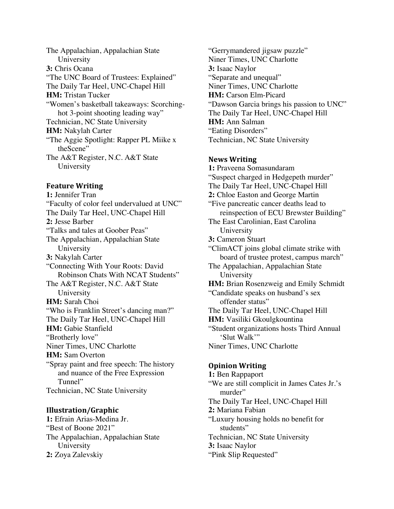The Appalachian, Appalachian State University **3:** Chris Ocana "The UNC Board of Trustees: Explained" The Daily Tar Heel, UNC-Chapel Hill **HM:** Tristan Tucker "Women's basketball takeaways: Scorchinghot 3-point shooting leading way" Technician, NC State University **HM:** Nakylah Carter "The Aggie Spotlight: Rapper PL Miike x theScene" The A&T Register, N.C. A&T State University

## **Feature Writing**

**1:** Jennifer Tran "Faculty of color feel undervalued at UNC" The Daily Tar Heel, UNC-Chapel Hill **2:** Jesse Barber "Talks and tales at Goober Peas" The Appalachian, Appalachian State University **3:** Nakylah Carter "Connecting With Your Roots: David Robinson Chats With NCAT Students" The A&T Register, N.C. A&T State University **HM:** Sarah Choi "Who is Franklin Street's dancing man?" The Daily Tar Heel, UNC-Chapel Hill **HM:** Gabie Stanfield "Brotherly love" Niner Times, UNC Charlotte **HM:** Sam Overton "Spray paint and free speech: The history and nuance of the Free Expression Tunnel" Technician, NC State University

## **Illustration/Graphic**

**1:** Efrain Arias-Medina Jr. "Best of Boone 2021" The Appalachian, Appalachian State University **2:** Zoya Zalevskiy

"Gerrymandered jigsaw puzzle" Niner Times, UNC Charlotte **3:** Isaac Naylor "Separate and unequal" Niner Times, UNC Charlotte **HM:** Carson Elm-Picard "Dawson Garcia brings his passion to UNC" The Daily Tar Heel, UNC-Chapel Hill **HM:** Ann Salman "Eating Disorders" Technician, NC State University

#### **News Writing**

**1:** Praveena Somasundaram "Suspect charged in Hedgepeth murder" The Daily Tar Heel, UNC-Chapel Hill **2:** Chloe Easton and George Martin "Five pancreatic cancer deaths lead to reinspection of ECU Brewster Building" The East Carolinian, East Carolina University **3:** Cameron Stuart "ClimACT joins global climate strike with board of trustee protest, campus march" The Appalachian, Appalachian State University **HM:** Brian Rosenzweig and Emily Schmidt "Candidate speaks on husband's sex offender status" The Daily Tar Heel, UNC-Chapel Hill **HM:** Vasiliki Gkoulgkountina "Student organizations hosts Third Annual 'Slut Walk'" Niner Times, UNC Charlotte

## **Opinion Writing**

**1:** Ben Rappaport "We are still complicit in James Cates Jr.'s murder" The Daily Tar Heel, UNC-Chapel Hill **2:** Mariana Fabian "Luxury housing holds no benefit for students" Technician, NC State University **3:** Isaac Naylor "Pink Slip Requested"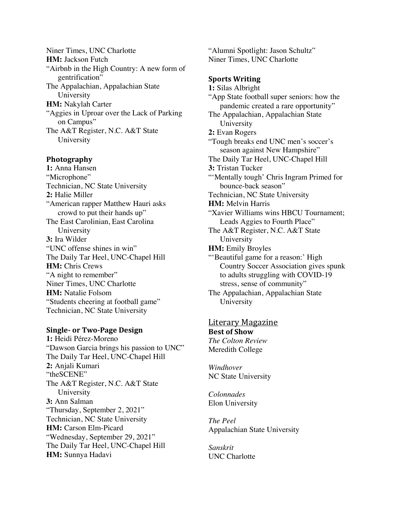Niner Times, UNC Charlotte **HM:** Jackson Futch "Airbnb in the High Country: A new form of gentrification" The Appalachian, Appalachian State University **HM:** Nakylah Carter "Aggies in Uproar over the Lack of Parking on Campus" The A&T Register, N.C. A&T State University

### **Photography**

**1:** Anna Hansen "Microphone" Technician, NC State University **2:** Halie Miller "American rapper Matthew Hauri asks crowd to put their hands up" The East Carolinian, East Carolina University **3:** Ira Wilder "UNC offense shines in win" The Daily Tar Heel, UNC-Chapel Hill **HM:** Chris Crews "A night to remember" Niner Times, UNC Charlotte **HM:** Natalie Folsom "Students cheering at football game" Technician, NC State University

# **Single- or Two-Page Design**

**1:** Heidi Pérez-Moreno "Dawson Garcia brings his passion to UNC" The Daily Tar Heel, UNC-Chapel Hill **2:** Anjali Kumari "theSCENE" The A&T Register, N.C. A&T State University **3:** Ann Salman "Thursday, September 2, 2021" Technician, NC State University **HM:** Carson Elm-Picard "Wednesday, September 29, 2021" The Daily Tar Heel, UNC-Chapel Hill **HM:** Sunnya Hadavi

"Alumni Spotlight: Jason Schultz" Niner Times, UNC Charlotte

## **Sports Writing**

**1:** Silas Albright "App State football super seniors: how the pandemic created a rare opportunity" The Appalachian, Appalachian State University **2:** Evan Rogers "Tough breaks end UNC men's soccer's season against New Hampshire" The Daily Tar Heel, UNC-Chapel Hill **3:** Tristan Tucker "'Mentally tough' Chris Ingram Primed for bounce-back season" Technician, NC State University **HM:** Melvin Harris "Xavier Williams wins HBCU Tournament; Leads Aggies to Fourth Place" The A&T Register, N.C. A&T State University **HM:** Emily Broyles "'Beautiful game for a reason:' High Country Soccer Association gives spunk to adults struggling with COVID-19 stress, sense of community" The Appalachian, Appalachian State University

# <u>Literary Magazine</u>

**Best of Show** *The Colton Review* Meredith College

*Windhover* NC State University

*Colonnades* Elon University

*The Peel* Appalachian State University

*Sanskrit* UNC Charlotte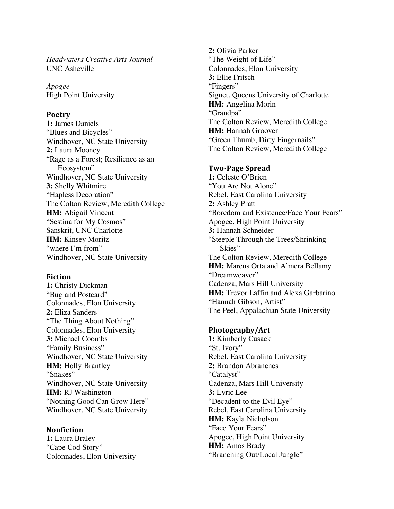*Headwaters Creative Arts Journal* UNC Asheville

*Apogee* High Point University

## **Poetry**

**1:** James Daniels "Blues and Bicycles" Windhover, NC State University **2:** Laura Mooney "Rage as a Forest; Resilience as an Ecosystem" Windhover, NC State University **3:** Shelly Whitmire "Hapless Decoration" The Colton Review, Meredith College **HM:** Abigail Vincent "Sestina for My Cosmos" Sanskrit, UNC Charlotte **HM:** Kinsey Moritz "where I'm from" Windhover, NC State University

**Fiction 1:** Christy Dickman "Bug and Postcard" Colonnades, Elon University **2:** Eliza Sanders "The Thing About Nothing" Colonnades, Elon University **3:** Michael Coombs "Family Business" Windhover, NC State University **HM:** Holly Brantley "Snakes" Windhover, NC State University **HM:** RJ Washington "Nothing Good Can Grow Here" Windhover, NC State University

**Nonfiction 1:** Laura Braley "Cape Cod Story" Colonnades, Elon University

**2:** Olivia Parker "The Weight of Life" Colonnades, Elon University **3:** Ellie Fritsch "Fingers" Signet, Queens University of Charlotte **HM:** Angelina Morin "Grandpa" The Colton Review, Meredith College **HM:** Hannah Groover "Green Thumb, Dirty Fingernails" The Colton Review, Meredith College

# **Two-Page Spread**

**1:** Celeste O'Brien "You Are Not Alone" Rebel, East Carolina University **2:** Ashley Pratt "Boredom and Existence/Face Your Fears" Apogee, High Point University **3:** Hannah Schneider "Steeple Through the Trees/Shrinking Skies" The Colton Review, Meredith College **HM:** Marcus Orta and A'mera Bellamy "Dreamweaver" Cadenza, Mars Hill University **HM:** Trevor Laffin and Alexa Garbarino "Hannah Gibson, Artist" The Peel, Appalachian State University

# **Photography/Art**

**1:** Kimberly Cusack "St. Ivory" Rebel, East Carolina University **2:** Brandon Abranches "Catalyst" Cadenza, Mars Hill University **3:** Lyric Lee "Decadent to the Evil Eye" Rebel, East Carolina University **HM:** Kayla Nicholson "Face Your Fears" Apogee, High Point University **HM:** Amos Brady "Branching Out/Local Jungle"